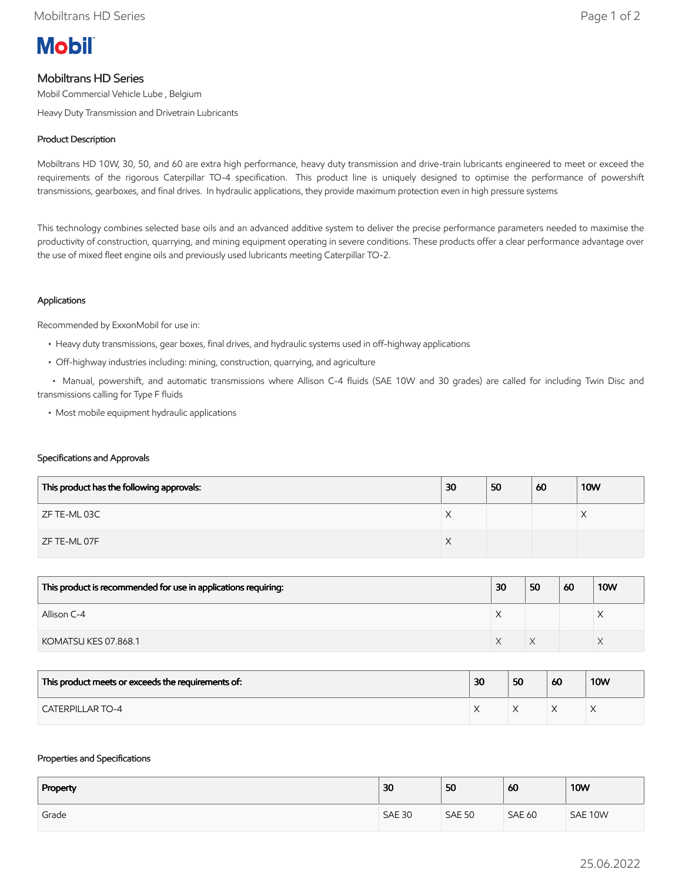

# Mobiltrans HD Series

Mobil Commercial Vehicle Lube , Belgium

Heavy Duty Transmission and Drivetrain Lubricants

## Product Description

Mobiltrans HD 10W, 30, 50, and 60 are extra high performance, heavy duty transmission and drive-train lubricants engineered to meet or exceed the requirements of the rigorous Caterpillar TO-4 specification. This product line is uniquely designed to optimise the performance of powershift transmissions, gearboxes, and final drives. In hydraulic applications, they provide maximum protection even in high pressure systems

This technology combines selected base oils and an advanced additive system to deliver the precise performance parameters needed to maximise the productivity of construction, quarrying, and mining equipment operating in severe conditions. These products offer a clear performance advantage over the use of mixed fleet engine oils and previously used lubricants meeting Caterpillar TO-2.

## Applications

Recommended by ExxonMobil for use in:

- Heavy duty transmissions, gear boxes, final drives, and hydraulic systems used in off-highway applications
- Off-highway industries including: mining, construction, quarrying, and agriculture

 • Manual, powershift, and automatic transmissions where Allison C-4 fluids (SAE 10W and 30 grades) are called for including Twin Disc and transmissions calling for Type F fluids

• Most mobile equipment hydraulic applications

#### Specifications and Approvals

| This product has the following approvals: | 30 | 50 | 60 | <b>10W</b> |
|-------------------------------------------|----|----|----|------------|
| ZF TE-ML 03C                              | X  |    |    | ∧          |
| ZF TE-ML 07F                              | X  |    |    |            |

| This product is recommended for use in applications requiring: | 30 | 50 | 60 | <b>10W</b> |
|----------------------------------------------------------------|----|----|----|------------|
| Allison C-4                                                    |    |    |    |            |
| KOMATSU KES 07.868.1                                           |    |    |    |            |

| This product meets or exceeds the requirements of: | 30 | 50 | 60 | <b>10W</b> |
|----------------------------------------------------|----|----|----|------------|
| <b>CATERPILLAR TO-4</b>                            |    |    |    |            |

#### Properties and Specifications

| Property | 30            | 50            | 60            | <b>10W</b> |
|----------|---------------|---------------|---------------|------------|
| Grade    | <b>SAE 30</b> | <b>SAE 50</b> | <b>SAE 60</b> | SAE 10W    |